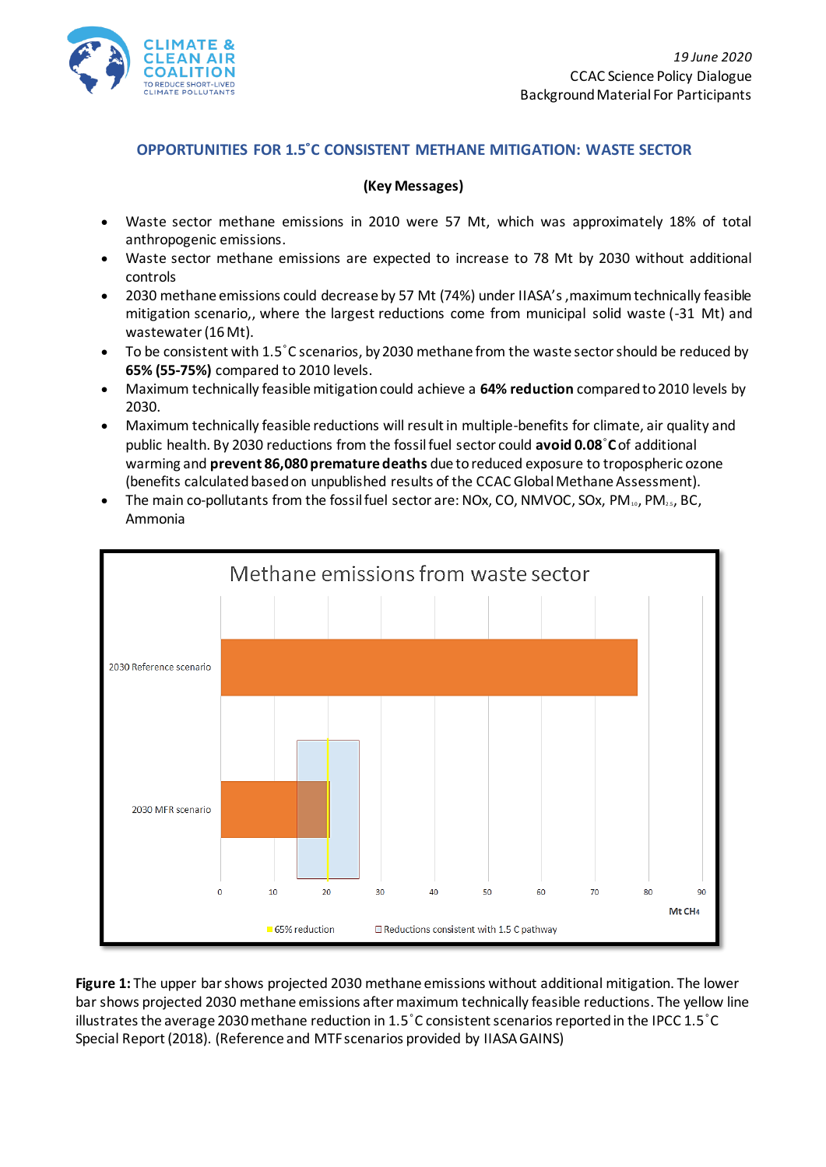

## **OPPORTUNITIES FOR 1.5˚C CONSISTENT METHANE MITIGATION: WASTE SECTOR**

## **(Key Messages)**

- Waste sector methane emissions in 2010 were 57 Mt, which was approximately 18% of total anthropogenic emissions.
- Waste sector methane emissions are expected to increase to 78 Mt by 2030 without additional controls
- 2030 methane emissions could decrease by 57 Mt (74%) under IIASA's ,maximum technically feasible mitigation scenario,, where the largest reductions come from municipal solid waste (-31 Mt) and wastewater (16 Mt).
- To be consistent with 1.5˚C scenarios, by 2030 methane from the waste sector should be reduced by **65% (55-75%)** compared to 2010 levels.
- Maximum technically feasible mitigation could achieve a **64% reduction** compared to 2010 levels by 2030.
- Maximum technically feasible reductions will result in multiple-benefits for climate, air quality and public health. By 2030 reductions from the fossil fuel sector could **avoid 0.08**˚**C**of additional warming and **prevent 86,080 premature deaths** due to reduced exposure to tropospheric ozone (benefits calculated based on unpublished results of the CCAC Global Methane Assessment).
- The main co-pollutants from the fossil fuel sector are: NOx, CO, NMVOC, SOx, PM $_{10}$ , PM $_{25}$ , BC, Ammonia



**Figure 1:** The upper bar shows projected 2030 methane emissions without additional mitigation. The lower bar shows projected 2030 methane emissions after maximum technically feasible reductions. The yellow line illustrates the average 2030 methane reduction in 1.5˚C consistent scenarios reported in the IPCC 1.5˚C Special Report (2018). (Reference and MTF scenarios provided by IIASA GAINS)